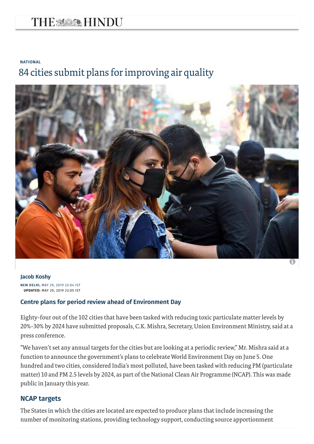# THE MARK HINDU

# **[NATIONAL](https://www.thehindu.com/news/national/)** 84 cities submit plans forimproving air quality



**Jacob [Koshy](https://www.thehindu.com/profile/author/Jacob-Koshy-671/)**

**NEW DELHI,** MAY 29, 2019 22:04 IST **UPDATED:** MAY 29, 2019 22:05 IST

#### **Centre plans for period review ahead of Environment Day**

Eighty-four out of the 102 cities that have been tasked with reducing toxic particulate matterlevels by 20%-30% by 2024 have submitted proposals, C.K. Mishra, Secretary, Union Environment Ministry, said at a press conference.

"We haven't set any annual targets for the cities but are looking at a periodic review," Mr. Mishra said at a function to announce the government's plans to celebrate World Environment Day on June 5. One hundred and two cities, considered India's most polluted, have been tasked with reducing PM (particulate matter) 10 and PM 2.5 levels by 2024, as part of the National Clean Air Programme (NCAP). This was made public in January this year.

#### **NCAP targets**

The States in which the cities are located are expected to produce plans that include increasing the number of monitoring stations, providing technology support, conducting source apportionment